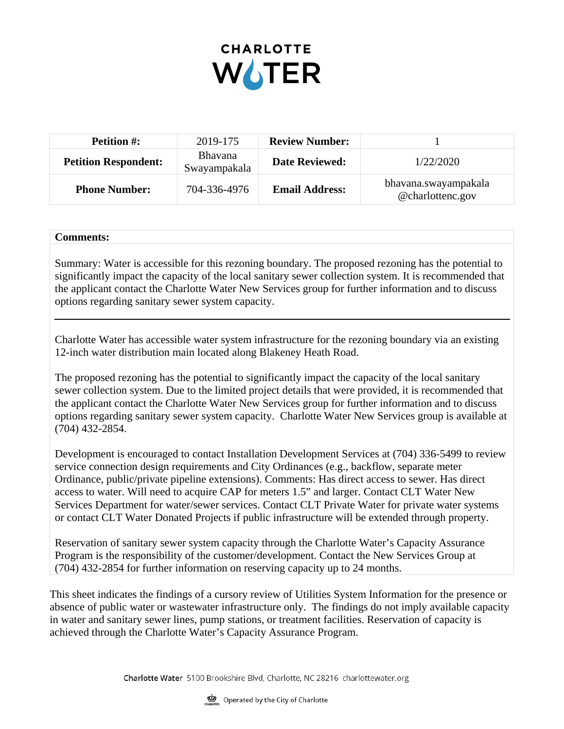

| <b>Petition #:</b>          | 2019-175                       | <b>Review Number:</b> |                                          |
|-----------------------------|--------------------------------|-----------------------|------------------------------------------|
| <b>Petition Respondent:</b> | <b>Bhavana</b><br>Swayampakala | <b>Date Reviewed:</b> | 1/22/2020                                |
| <b>Phone Number:</b>        | 704-336-4976                   | <b>Email Address:</b> | bhavana.swayampakala<br>@charlottenc.gov |

## **Comments:**

Summary: Water is accessible for this rezoning boundary. The proposed rezoning has the potential to significantly impact the capacity of the local sanitary sewer collection system. It is recommended that the applicant contact the Charlotte Water New Services group for further information and to discuss options regarding sanitary sewer system capacity.

Charlotte Water has accessible water system infrastructure for the rezoning boundary via an existing 12-inch water distribution main located along Blakeney Heath Road.

The proposed rezoning has the potential to significantly impact the capacity of the local sanitary sewer collection system. Due to the limited project details that were provided, it is recommended that the applicant contact the Charlotte Water New Services group for further information and to discuss options regarding sanitary sewer system capacity. Charlotte Water New Services group is available at (704) 432-2854.

Development is encouraged to contact Installation Development Services at (704) 336-5499 to review service connection design requirements and City Ordinances (e.g., backflow, separate meter Ordinance, public/private pipeline extensions). Comments: Has direct access to sewer. Has direct access to water. Will need to acquire CAP for meters 1.5" and larger. Contact CLT Water New Services Department for water/sewer services. Contact CLT Private Water for private water systems or contact CLT Water Donated Projects if public infrastructure will be extended through property.

Reservation of sanitary sewer system capacity through the Charlotte Water's Capacity Assurance Program is the responsibility of the customer/development. Contact the New Services Group at (704) 432-2854 for further information on reserving capacity up to 24 months.

This sheet indicates the findings of a cursory review of Utilities System Information for the presence or absence of public water or wastewater infrastructure only. The findings do not imply available capacity in water and sanitary sewer lines, pump stations, or treatment facilities. Reservation of capacity is achieved through the Charlotte Water's Capacity Assurance Program.

Charlotte Water 5100 Brookshire Blvd, Charlotte, NC 28216 charlottewater.org